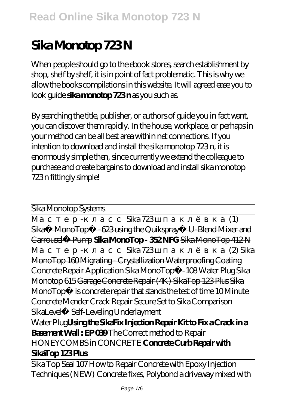# **Sika Monotop 723 N**

When people should go to the ebook stores, search establishment by shop, shelf by shelf, it is in point of fact problematic. This is why we allow the books compilations in this website. It will agreed ease you to look guide **sika monotop 723 n** as you such as.

By searching the title, publisher, or authors of guide you in fact want, you can discover them rapidly. In the house, workplace, or perhaps in your method can be all best area within net connections. If you intention to download and install the sika monotop 723 n, it is enormously simple then, since currently we extend the colleague to purchase and create bargains to download and install sika monotop 723 n fittingly simple!

| Sika Monotop Systems                                                          |                     |
|-------------------------------------------------------------------------------|---------------------|
|                                                                               |                     |
| Sika 723                                                                      | (1)                 |
| Sika® MonoTop® - 623 using the Quikspray® U-Blend Mixer and                   |                     |
| Carrousel <sup>®</sup> Pump SikaMonoTop - 352NFG SikaMonoTop 412N             |                     |
|                                                                               | <del>(2)</del> Sika |
| MonoTop 160Migrating - Crystallization Waterproofing Coating                  |                     |
| Concrete Repair Application Sika MonoTop® - 108 Water Plug Sika               |                     |
| Monotop 615Garage Concrete Repair (4K) SikaTop 123 Plus Sika                  |                     |
| MonoTop <sup>®</sup> is concrete repair that stands the test of time 10Minute |                     |
| Concrete Mender Crack Repair Secure Set to Sika Comparison                    |                     |
| SikaLevel® Self-Leveling Underlayment                                         |                     |
| Water PlugUsing the SikaFix Injection Repair Kit to Fix a Crack in a          |                     |
| <b>Basement Wall: EP OB9</b> The Correct method to Repair                     |                     |
| HONEYCOMBS in CONCRETE Concrete Curb Repair with                              |                     |
| SikaTop 123Plus                                                               |                     |
| Sika Top Seal 107 How to Repair Concrete with Epoxy Injection                 |                     |
| Techniques (NEW) <del>Concrete fixes, Polybond a driveway mixed with</del>    |                     |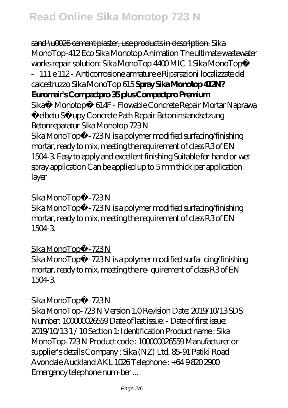sand \u0026 cement plaster, use products in description. *Sika MonoTop-412 Eco* Sika Monotop Animation *The ultimate wastewater works repair solution: Sika MonoTop 4400 MIC 1 Sika MonoTop®*

*‐111 e 112 - Anticorrosione armature e Riparazioni localizzate del calcestruzzo* Sika MonoTop 615 **Spray Sika Monotop 412N? Euromair's Compactpro 35 plus Compactpro Premium**

Sika® Monotop® 614F - Flowable Concrete Repair Mortar Naprawa Żelbetu Słupy Concrete Path Repair Betoninstandsetzung Betonreparatur Sika Monotop 723 N

Sika MonoTop® - 723 N is a polymer modified surfacing/finishing mortar, ready to mix, meeting the requirement of class R3 of EN 1504-3. Easy to apply and excellent finishing Suitable for hand or wet spray application Can be applied up to 5 mm thick per application layer

#### Sika MonoTop® - 723 N

Sika MonoTop® - 723 N is a polymer modified surfacing/finishing mortar, ready to mix, meeting the requirement of class R3 of EN 1504-3.

### Sika MonoTop® - 723 N

Sika MonoTop® - 723 N is a polymer modified surfa- cing/finishing mortar, ready to mix, meeting the re- quirement of class R3 of EN 1504-3.

#### Sika MonoTop® - 723 N

Sika MonoTop-723 N Version 1.0 Revision Date: 2019/10/13 SDS Number: 100000026559 Date of last issue: - Date of first issue: 2019/10/13 1 / 10 Section 1: Identification Product name : Sika MonoTop-723 N Product code : 100000026559 Manufacturer or supplier's details Company : Sika (NZ) Ltd. 85-91 Patiki Road Avondale Auckland AKL 1026 Telephone: +64 9 820 2900 Emergency telephone num-ber ...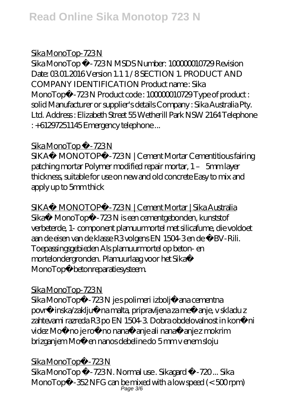## Sika MonoTop-723 N

Sika MonoTop ® - 723 N MSDS Number: 100000010729 Revision Date: 03.01.2016 Version 1.1.1 / 8 SECTION 1. PRODUCT AND COMPANY IDENTIFICATION Product name : Sika MonoTop® - 723 N Product code: 10000000729 Type of product: solid Manufacturer or supplier's details Company : Sika Australia Pty. Ltd. Address : Elizabeth Street 55 Wetherill Park NSW 2164 Telephone : +61297251145 Emergency telephone ...

## Sika MonoTop ® - 723 N

SIKA® MONOTOP® - 723N | Cement Mortar Cementitious fairing patching mortar Polymer modified repair mortar, 1 – 5mm layer thickness, suitable for use on new and old concrete Easy to mix and apply up to 5mm thick

SIKA® MONOTOP® - 723N | Cement Mortar | Sika Australia Sika® MonoTop® - 723N is een cementgebonden, kunststof verbeterde, 1- component plamuurmortel met silicafume, die voldoet aan de eisen van de klasse R3 volgens EN 1504-3 en de ÖBV-Rili. Toepassingsgebieden Als plamuurmortel op beton- en mortelondergronden. Plamuurlaag voor het Sika® MonoTop® betonreparatiesysteem.

## Sika MonoTop-723N

Sika MonoTop® - 723 N je s polimeri izboljšana cementna površinska/zaklju na malta, pripravljena za mešanje, v skladu z zahtevami razreda R3 po EN 1504-3. Dobra obdelovalnost in konvinci videz Možno je ročno nanašanje ali nanašanje z mokrim brizganjem Možen nanos debeline do 5 mm v enem sloju

## Sika MonoTop® - 723 N

Sika MonoTop ®-723 N. Normal use . Sikagard ®-720 ... Sika MonoTop®-352 NFG can be mixed with a low speed (< 500 rpm) Page 3/6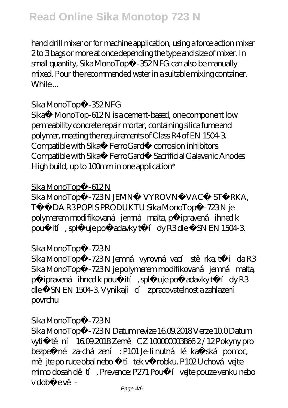## **Read Online Sika Monotop 723 N**

hand drill mixer or for machine application, using a force action mixer 2 to 3 bags or more at once depending the type and size of mixer. In small quantity, Sika MonoTop®-352 NFG can also be manually mixed. Pour the recommended water in a suitable mixing container. While ...

#### Sika MonoTop®-352 NFG

Sika® MonoTop-612N is a cement-based, one component low permeability concrete repair mortar, containing silica fume and polymer, meeting the requirements of Class R4 of EN 1504-3. Compatible with Sika® FerroGard® corrosion inhibitors Compatible with Sika® FerroGard® Sacrificial Galavanic Anodes High build, up to  $100$ mm in one application\*

#### Sika MonoTop® - 612 N

Sika MonoTop® - 723 N JEMNÁ VYROVNÁ VACÍ STRKA, T Í DA R3 POPIS PRODUKTU Sika MonoTop®-723 N je polymerem modifikovaná jemná malta, p ipravená ihned k použití, spluje požadavky tídy R3 dle SN EN 1504-3.

#### Sika MonoTop® - 723 N

Sika MonoTop® - 723 N Jemná vyrovná vací st rka, tída R3 Sika MonoTop® - 723 N je polymerem modifikovaná jemná malta, p ipravená ihned k použití, spl uje požadavky tídy R3 dle SN EN 1504-3. Vynikají cí zpracovatelnost a zahlazení povrchu

#### Sika MonoTop® - 723 N

Sika MonoTop® - 723 N Datum revize 1609.2018 Verze 10.0 Datum vytišt ní 16.09.2018 Zem CZ 100000003866 2 / 12 Pokyny pro bezpe né za-cházení : P101 Je-li nutná léka ská pomoc, m jte po ruce obal nebo štítek výrobku. P102 Uchová vejte mimo dosah d<sup>tí</sup>. Prevence: P271 Použí vejte pouze venku nebo v době ev<sup>-</sup>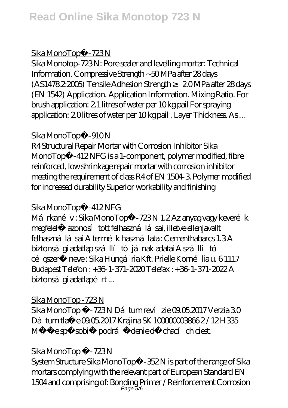#### Sika MonoTop® - 723 N

Sika Monotop-723 N: Pore sealer and levelling mortar: Technical Information. Compressive Strength ~50 MPa after 28 days (AS1478.2:2005) Tensile Adhesion Strength ≥ 2.0 MPa after 28 days (EN 1542) Application. Application Information. Mixing Ratio. For brush application: 2.1 litres of water per 10 kg pail For spraying application: 2.0 litres of water per 10 kg pail . Layer Thickness. As ...

#### Sika MonoTop® - 910 N

R4 Structural Repair Mortar with Corrosion Inhibitor Sika MonoTop® -412 NFG is a 1-component, polymer modified, fibre reinforced, low shrinkage repair mortar with corrosion inhibitor meeting the requirement of class R4 of EN 1504-3. Polymer modified for increased durability Superior workability and finishing

## Sika MonoTop® - 412 NFG

Márkanév: Sika MonoTop® - 723 N 1.2 Az anyag vagy keverék megfelel azonosí tott felhasználásai, illetve ellenjavallt felhasználásai A termék használata : Cementhabarcs 1.3 A biztonsá gi adatlap szállítójának adatai A szállító cé gszer neve: Sika Hungária Kft. Prielle Kornélia u. 6 1117 Budapest Telefon : +36-1-371-2020 Telefax : +36-1-371-2022 A biztonsá gi adatlapért ...

### Sika MonoTop - 723 N

Sika MonoTop ® - 723 N Dátum reví zie 09.05.2017 Verzia 3.0 Dátum tla e 09.05.2017 Krajina SK 1000000038662/12 H335 Mô že spôsobi podráž denie dýchacích ciest.

## Sika MonoTop ® - 723 N

System Structure Sika MonoTop®-352 N is part of the range of Sika mortars complying with the relevant part of European Standard EN 1504 and comprising of: Bonding Primer / Reinforcement Corrosion Page 5/6